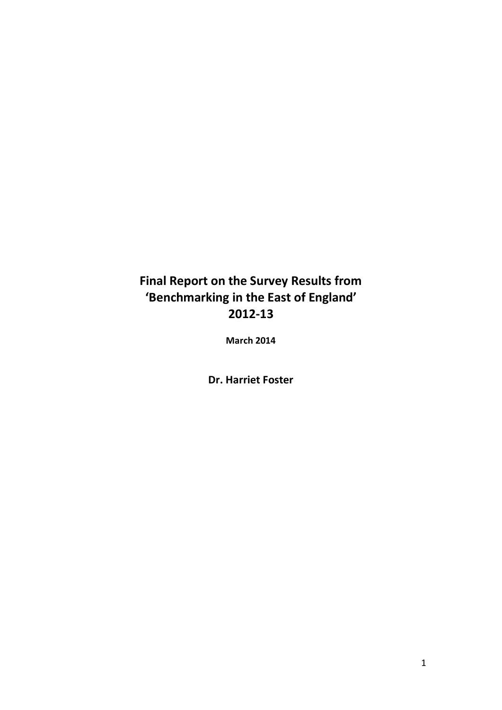## **Final Report on the Survey Results from 'Benchmarking in the East of England' 2012-13**

**March 2014**

**Dr. Harriet Foster**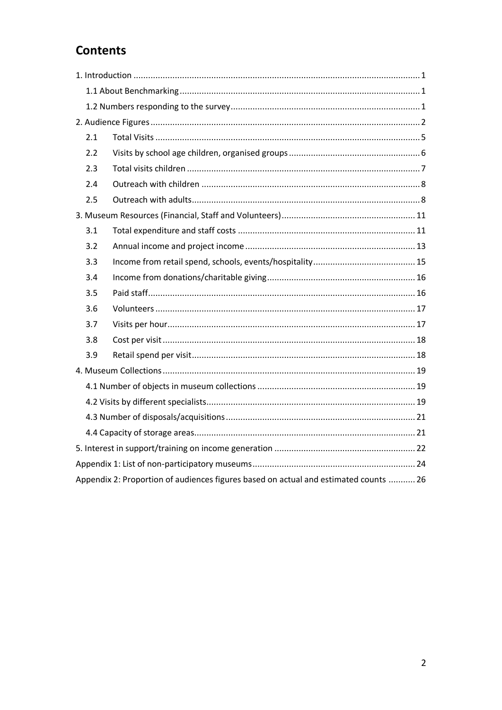## **Contents**

| 2.1 |                                                                                      |  |
|-----|--------------------------------------------------------------------------------------|--|
| 2.2 |                                                                                      |  |
| 2.3 |                                                                                      |  |
| 2.4 |                                                                                      |  |
| 2.5 |                                                                                      |  |
|     |                                                                                      |  |
| 3.1 |                                                                                      |  |
| 3.2 |                                                                                      |  |
| 3.3 |                                                                                      |  |
| 3.4 |                                                                                      |  |
| 3.5 |                                                                                      |  |
| 3.6 |                                                                                      |  |
| 3.7 |                                                                                      |  |
| 3.8 |                                                                                      |  |
| 3.9 |                                                                                      |  |
|     |                                                                                      |  |
|     |                                                                                      |  |
|     |                                                                                      |  |
|     |                                                                                      |  |
|     |                                                                                      |  |
|     |                                                                                      |  |
|     |                                                                                      |  |
|     | Appendix 2: Proportion of audiences figures based on actual and estimated counts  26 |  |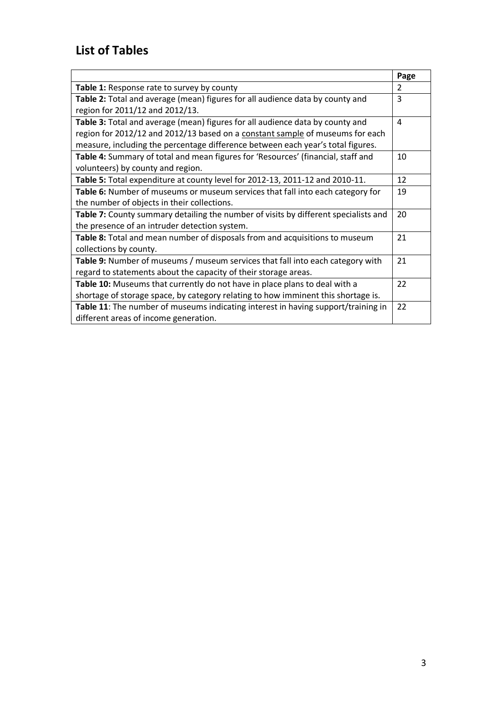|                                                                                     | Page |
|-------------------------------------------------------------------------------------|------|
| Table 1: Response rate to survey by county                                          | 2    |
| Table 2: Total and average (mean) figures for all audience data by county and       | 3    |
| region for 2011/12 and 2012/13.                                                     |      |
| Table 3: Total and average (mean) figures for all audience data by county and       | 4    |
| region for 2012/12 and 2012/13 based on a constant sample of museums for each       |      |
| measure, including the percentage difference between each year's total figures.     |      |
| Table 4: Summary of total and mean figures for 'Resources' (financial, staff and    | 10   |
| volunteers) by county and region.                                                   |      |
| Table 5: Total expenditure at county level for 2012-13, 2011-12 and 2010-11.        | 12   |
| Table 6: Number of museums or museum services that fall into each category for      | 19   |
| the number of objects in their collections.                                         |      |
| Table 7: County summary detailing the number of visits by different specialists and | 20   |
| the presence of an intruder detection system.                                       |      |
| Table 8: Total and mean number of disposals from and acquisitions to museum         | 21   |
| collections by county.                                                              |      |
| Table 9: Number of museums / museum services that fall into each category with      | 21   |
| regard to statements about the capacity of their storage areas.                     |      |
| Table 10: Museums that currently do not have in place plans to deal with a          | 22   |
| shortage of storage space, by category relating to how imminent this shortage is.   |      |
| Table 11: The number of museums indicating interest in having support/training in   | 22   |
| different areas of income generation.                                               |      |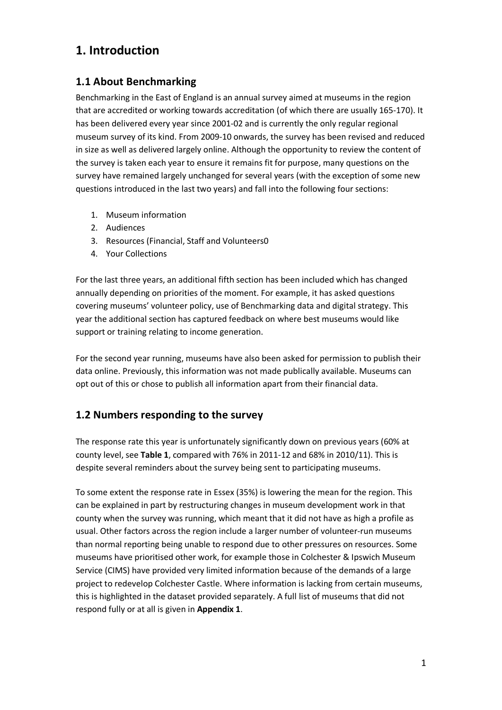## **1. Introduction**

### **1.1 About Benchmarking**

Benchmarking in the East of England is an annual survey aimed at museums in the region that are accredited or working towards accreditation (of which there are usually 165-170). It has been delivered every year since 2001-02 and is currently the only regular regional museum survey of its kind. From 2009-10 onwards, the survey has been revised and reduced in size as well as delivered largely online. Although the opportunity to review the content of the survey is taken each year to ensure it remains fit for purpose, many questions on the survey have remained largely unchanged for several years (with the exception of some new questions introduced in the last two years) and fall into the following four sections:

- 1. Museum information
- 2. Audiences
- 3. Resources (Financial, Staff and Volunteers0
- 4. Your Collections

For the last three years, an additional fifth section has been included which has changed annually depending on priorities of the moment. For example, it has asked questions covering museums' volunteer policy, use of Benchmarking data and digital strategy. This year the additional section has captured feedback on where best museums would like support or training relating to income generation.

For the second year running, museums have also been asked for permission to publish their data online. Previously, this information was not made publically available. Museums can opt out of this or chose to publish all information apart from their financial data.

### **1.2 Numbers responding to the survey**

The response rate this year is unfortunately significantly down on previous years (60% at county level, see **Table 1**, compared with 76% in 2011-12 and 68% in 2010/11). This is despite several reminders about the survey being sent to participating museums.

To some extent the response rate in Essex (35%) is lowering the mean for the region. This can be explained in part by restructuring changes in museum development work in that county when the survey was running, which meant that it did not have as high a profile as usual. Other factors across the region include a larger number of volunteer-run museums than normal reporting being unable to respond due to other pressures on resources. Some museums have prioritised other work, for example those in Colchester & Ipswich Museum Service (CIMS) have provided very limited information because of the demands of a large project to redevelop Colchester Castle. Where information is lacking from certain museums, this is highlighted in the dataset provided separately. A full list of museums that did not respond fully or at all is given in **Appendix 1**.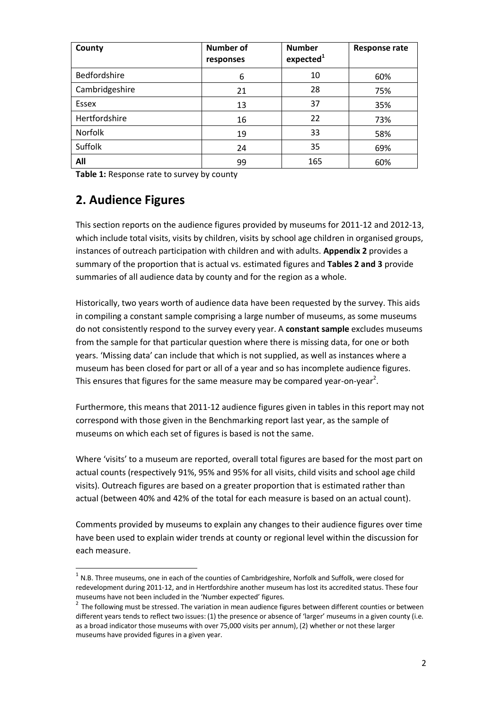| County         | <b>Number of</b><br>responses | <b>Number</b><br>expected <sup>1</sup> | <b>Response rate</b> |
|----------------|-------------------------------|----------------------------------------|----------------------|
| Bedfordshire   | 6                             | 10                                     | 60%                  |
| Cambridgeshire | 21                            | 28                                     | 75%                  |
| Essex          | 13                            | 37                                     | 35%                  |
| Hertfordshire  | 16                            | 22                                     | 73%                  |
| Norfolk        | 19                            | 33                                     | 58%                  |
| Suffolk        | 24                            | 35                                     | 69%                  |
| All            | 99                            | 165                                    | 60%                  |

**Table 1:** Response rate to survey by county

## **2. Audience Figures**

l

This section reports on the audience figures provided by museums for 2011-12 and 2012-13, which include total visits, visits by children, visits by school age children in organised groups, instances of outreach participation with children and with adults. **Appendix 2** provides a summary of the proportion that is actual vs. estimated figures and **Tables 2 and 3** provide summaries of all audience data by county and for the region as a whole.

Historically, two years worth of audience data have been requested by the survey. This aids in compiling a constant sample comprising a large number of museums, as some museums do not consistently respond to the survey every year. A **constant sample** excludes museums from the sample for that particular question where there is missing data, for one or both years. 'Missing data' can include that which is not supplied, as well as instances where a museum has been closed for part or all of a year and so has incomplete audience figures. This ensures that figures for the same measure may be compared year-on-year<sup>2</sup>.

Furthermore, this means that 2011-12 audience figures given in tables in this report may not correspond with those given in the Benchmarking report last year, as the sample of museums on which each set of figures is based is not the same.

Where 'visits' to a museum are reported, overall total figures are based for the most part on actual counts (respectively 91%, 95% and 95% for all visits, child visits and school age child visits). Outreach figures are based on a greater proportion that is estimated rather than actual (between 40% and 42% of the total for each measure is based on an actual count).

Comments provided by museums to explain any changes to their audience figures over time have been used to explain wider trends at county or regional level within the discussion for each measure.

 $^1$  N.B. Three museums, one in each of the counties of Cambridgeshire, Norfolk and Suffolk, were closed for redevelopment during 2011-12, and in Hertfordshire another museum has lost its accredited status. These four museums have not been included in the 'Number expected' figures.

 $2$  The following must be stressed. The variation in mean audience figures between different counties or between different years tends to reflect two issues: (1) the presence or absence of 'larger' museums in a given county (i.e. as a broad indicator those museums with over 75,000 visits per annum), (2) whether or not these larger museums have provided figures in a given year.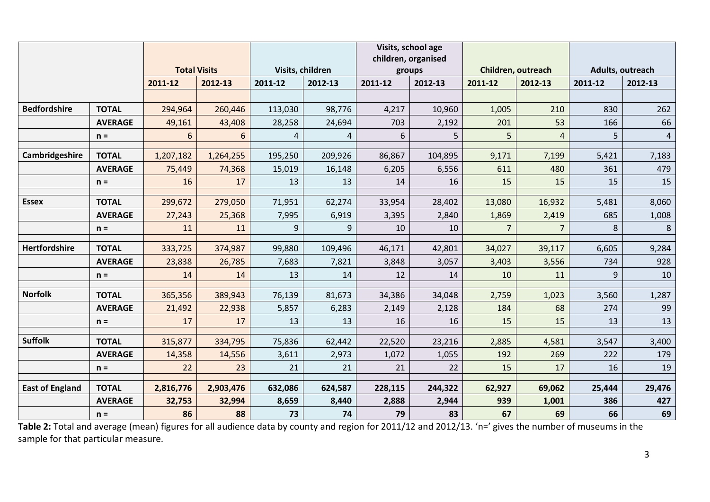|                        |                |                     |                     |                   |                   | Visits, school age<br>children, organised |                  |              |                    |              |                  |
|------------------------|----------------|---------------------|---------------------|-------------------|-------------------|-------------------------------------------|------------------|--------------|--------------------|--------------|------------------|
|                        |                | <b>Total Visits</b> |                     | Visits, children  |                   | groups                                    |                  |              | Children, outreach |              | Adults, outreach |
|                        |                | 2011-12             | 2012-13             | 2011-12           | 2012-13           | 2011-12                                   | 2012-13          | 2011-12      | 2012-13            | 2011-12      | 2012-13          |
|                        |                |                     |                     |                   |                   |                                           |                  |              |                    |              |                  |
| <b>Bedfordshire</b>    | <b>TOTAL</b>   | 294,964             | 260,446             | 113,030           | 98,776            | 4,217                                     | 10,960           | 1,005        | 210                | 830          | 262              |
|                        | <b>AVERAGE</b> | 49,161              | 43,408              | 28,258            | 24,694            | 703                                       | 2,192            | 201          | 53                 | 166          | 66               |
|                        | $n =$          | 6                   | 6                   | 4                 | 4                 | 6                                         | 5                | 5            | $\overline{4}$     | 5            | $\overline{4}$   |
| Cambridgeshire         | <b>TOTAL</b>   |                     |                     |                   |                   |                                           |                  |              |                    |              |                  |
|                        | <b>AVERAGE</b> | 1,207,182<br>75,449 | 1,264,255<br>74,368 | 195,250<br>15,019 | 209,926<br>16,148 | 86,867<br>6,205                           | 104,895<br>6,556 | 9,171<br>611 | 7,199<br>480       | 5,421<br>361 | 7,183<br>479     |
|                        |                | 16                  | 17                  | 13                | 13                | 14                                        | 16               | 15           | 15                 | 15           | 15               |
|                        | $n =$          |                     |                     |                   |                   |                                           |                  |              |                    |              |                  |
| <b>Essex</b>           | <b>TOTAL</b>   | 299,672             | 279,050             | 71,951            | 62,274            | 33,954                                    | 28,402           | 13,080       | 16,932             | 5,481        | 8,060            |
|                        | <b>AVERAGE</b> | 27,243              | 25,368              | 7,995             | 6,919             | 3,395                                     | 2,840            | 1,869        | 2,419              | 685          | 1,008            |
|                        | $n =$          | 11                  | 11                  | 9                 | 9                 | 10                                        | 10               |              |                    | 8            | 8                |
| <b>Hertfordshire</b>   | <b>TOTAL</b>   |                     |                     | 99,880            |                   |                                           |                  |              |                    |              | 9,284            |
|                        | <b>AVERAGE</b> | 333,725<br>23,838   | 374,987<br>26,785   | 7,683             | 109,496<br>7,821  | 46,171<br>3,848                           | 42,801<br>3,057  | 34,027       | 39,117<br>3,556    | 6,605<br>734 | 928              |
|                        |                |                     |                     |                   |                   |                                           |                  | 3,403        |                    |              |                  |
|                        | $n =$          | 14                  | 14                  | 13                | 14                | 12                                        | 14               | 10           | 11                 | 9            | 10               |
| <b>Norfolk</b>         | <b>TOTAL</b>   | 365,356             | 389,943             | 76,139            | 81,673            | 34,386                                    | 34,048           | 2,759        | 1,023              | 3,560        | 1,287            |
|                        | <b>AVERAGE</b> | 21,492              | 22,938              | 5,857             | 6,283             | 2,149                                     | 2,128            | 184          | 68                 | 274          | 99               |
|                        | $n =$          | 17                  | 17                  | 13                | 13                | 16                                        | 16               | 15           | 15                 | 13           | 13               |
| <b>Suffolk</b>         |                |                     |                     |                   |                   |                                           |                  |              |                    |              |                  |
|                        | <b>TOTAL</b>   | 315,877             | 334,795             | 75,836            | 62,442            | 22,520                                    | 23,216           | 2,885        | 4,581              | 3,547        | 3,400            |
|                        | <b>AVERAGE</b> | 14,358              | 14,556              | 3,611             | 2,973             | 1,072                                     | 1,055            | 192          | 269                | 222          | 179              |
|                        | $n =$          | 22                  | 23                  | 21                | 21                | 21                                        | 22               | 15           | 17                 | 16           | 19               |
| <b>East of England</b> | <b>TOTAL</b>   | 2,816,776           | 2,903,476           | 632,086           | 624,587           | 228,115                                   | 244,322          | 62,927       | 69,062             | 25,444       | 29,476           |
|                        | <b>AVERAGE</b> | 32,753              | 32,994              | 8,659             | 8,440             | 2,888                                     | 2,944            | 939          | 1,001              | 386          | 427              |
|                        | $n =$          | 86                  | 88                  | 73                | 74                | 79                                        | 83               | 67           | 69                 | 66           | 69               |

**Table 2:** Total and average (mean) figures for all audience data by county and region for 2011/12 and 2012/13. 'n=' gives the number of museums in the sample for that particular measure.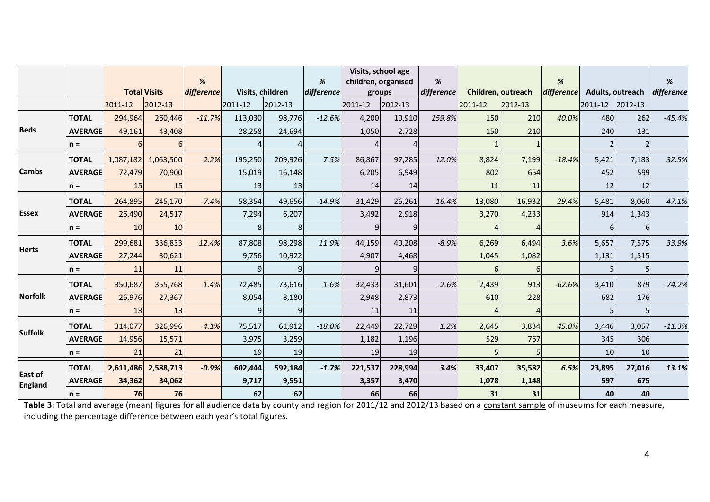|                           |                |           |                     | %          |                  |         | %          | Visits, school age<br>children, organised |         | %          |         |                    | %          |                  |              | %          |
|---------------------------|----------------|-----------|---------------------|------------|------------------|---------|------------|-------------------------------------------|---------|------------|---------|--------------------|------------|------------------|--------------|------------|
|                           |                |           | <b>Total Visits</b> | difference | Visits, children |         | difference | groups                                    |         | difference |         | Children, outreach | difference | Adults, outreach |              | difference |
|                           |                | 2011-12   | 2012-13             |            | 2011-12          | 2012-13 |            | 2011-12                                   | 2012-13 |            | 2011-12 | 2012-13            |            | 2011-12          | $ 2012 - 13$ |            |
|                           | <b>TOTAL</b>   | 294,964   | 260,446             | $-11.7%$   | 113,030          | 98,776  | $-12.6%$   | 4,200                                     | 10,910  | 159.8%     | 150     | 210                | 40.0%      | 480              | 262          | $-45.4%$   |
| <b>Beds</b>               | <b>AVERAGE</b> | 49,161    | 43,408              |            | 28,258           | 24,694  |            | 1,050                                     | 2,728   |            | 150     | 210                |            | 240              | 131          |            |
|                           | $n =$          |           | 6                   |            |                  |         |            |                                           |         |            |         |                    |            |                  |              |            |
|                           | <b>TOTAL</b>   | 1,087,182 | 1,063,500           | $-2.2%$    | 195,250          | 209,926 | 7.5%       | 86,867                                    | 97,285  | 12.0%      | 8,824   | 7,199              | $-18.4%$   | 5,421            | 7,183        | 32.5%      |
| <b>Cambs</b>              | <b>AVERAGE</b> | 72,479    | 70,900              |            | 15,019           | 16,148  |            | 6,205                                     | 6,949   |            | 802     | 654                |            | 452              | 599          |            |
|                           | $n =$          | 15        | 15                  |            | 13               | 13      |            | <b>14</b>                                 | 14      |            | 11      | 11                 |            | 12               | 12           |            |
|                           | <b>TOTAL</b>   | 264,895   | 245,170             | $-7.4%$    | 58,354           | 49,656  | $-14.9%$   | 31,429                                    | 26,261  | $-16.4%$   | 13,080  | 16,932             | 29.4%      | 5,481            | 8,060        | 47.1%      |
| <b>Essex</b>              | <b>AVERAGE</b> | 26,490    | 24,517              |            | 7,294            | 6,207   |            | 3,492                                     | 2,918   |            | 3,270   | 4,233              |            | 914              | 1,343        |            |
|                           | $n =$          | 10        | 10                  |            | 8                | 8       |            |                                           | 9       |            |         |                    |            | 6                | 6            |            |
|                           | <b>TOTAL</b>   | 299,681   | 336,833             | 12.4%      | 87,808           | 98,298  | 11.9%      | 44,159                                    | 40,208  | $-8.9%$    | 6,269   | 6,494              | 3.6%       | 5,657            | 7,575        | 33.9%      |
| <b>Herts</b>              | <b>AVERAGE</b> | 27,244    | 30,621              |            | 9,756            | 10,922  |            | 4,907                                     | 4,468   |            | 1,045   | 1,082              |            | 1,131            | 1,515        |            |
|                           | $n =$          | 11        | 11                  |            | q                |         |            |                                           |         |            |         |                    |            |                  |              |            |
|                           | <b>TOTAL</b>   | 350,687   | 355,768             | 1.4%       | 72,485           | 73,616  | 1.6%       | 32,433                                    | 31,601  | $-2.6%$    | 2,439   | 913                | $-62.6%$   | 3,410            | 879          | $-74.2%$   |
| <b>Norfolk</b>            | <b>AVERAGE</b> | 26,976    | 27,367              |            | 8,054            | 8,180   |            | 2,948                                     | 2,873   |            | 610     | 228                |            | 682              | 176          |            |
|                           | $n =$          | 13        | 13                  |            |                  |         |            | 11                                        | 11      |            |         |                    |            |                  |              |            |
|                           | <b>TOTAL</b>   | 314,077   | 326,996             | 4.1%       | 75.517           | 61,912  | $-18.0%$   | 22,449                                    | 22,729  | 1.2%       | 2,645   | 3,834              | 45.0%      | 3,446            | 3,057        | $-11.3%$   |
| <b>Suffolk</b>            | <b>AVERAGE</b> | 14,956    | 15,571              |            | 3,975            | 3,259   |            | 1,182                                     | 1,196   |            | 529     | 767                |            | 345              | 306          |            |
|                           | $n =$          | 21        | 21                  |            | 19               | 19      |            | 19                                        | 19      |            | 5       |                    |            | 10               | 10           |            |
|                           | <b>TOTAL</b>   | 2,611,486 | 2,588,713           | $-0.9%$    | 602,444          | 592,184 | $-1.7%$    | 221,537                                   | 228,994 | 3.4%       | 33,407  | 35,582             | 6.5%       | 23,895           | 27,016       | 13.1%      |
| East of<br><b>England</b> | <b>AVERAGE</b> | 34,362    | 34,062              |            | 9,717            | 9,551   |            | 3,357                                     | 3,470   |            | 1,078   | 1,148              |            | 597              | 675          |            |
|                           | $n =$          | 76        | 76                  |            | 62               | 62      |            | 66                                        | 66      |            | 31      | 31                 |            | 40               | 40           |            |

**Table 3:** Total and average (mean) figures for all audience data by county and region for 2011/12 and 2012/13 based on a constant sample of museums for each measure, including the percentage difference between each year's total figures.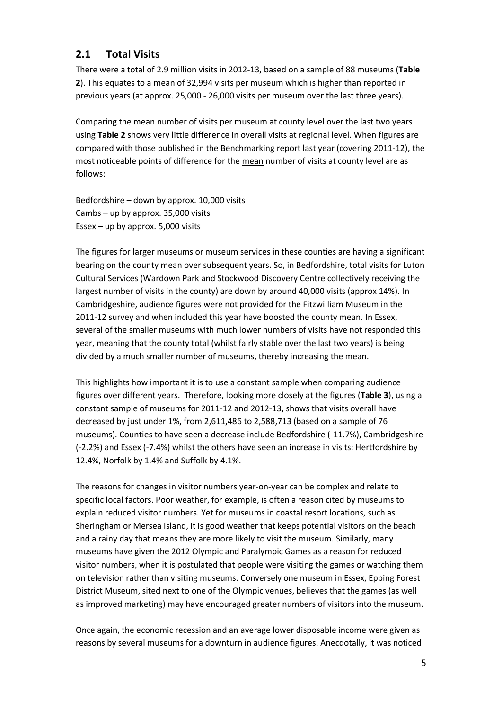#### **2.1 Total Visits**

There were a total of 2.9 million visits in 2012-13, based on a sample of 88 museums (**Table 2**). This equates to a mean of 32,994 visits per museum which is higher than reported in previous years (at approx. 25,000 - 26,000 visits per museum over the last three years).

Comparing the mean number of visits per museum at county level over the last two years using **Table 2** shows very little difference in overall visits at regional level. When figures are compared with those published in the Benchmarking report last year (covering 2011-12), the most noticeable points of difference for the mean number of visits at county level are as follows:

Bedfordshire – down by approx. 10,000 visits Cambs – up by approx. 35,000 visits Essex – up by approx. 5,000 visits

The figures for larger museums or museum services in these counties are having a significant bearing on the county mean over subsequent years. So, in Bedfordshire, total visits for Luton Cultural Services (Wardown Park and Stockwood Discovery Centre collectively receiving the largest number of visits in the county) are down by around 40,000 visits (approx 14%). In Cambridgeshire, audience figures were not provided for the Fitzwilliam Museum in the 2011-12 survey and when included this year have boosted the county mean. In Essex, several of the smaller museums with much lower numbers of visits have not responded this year, meaning that the county total (whilst fairly stable over the last two years) is being divided by a much smaller number of museums, thereby increasing the mean.

This highlights how important it is to use a constant sample when comparing audience figures over different years. Therefore, looking more closely at the figures (**Table 3**), using a constant sample of museums for 2011-12 and 2012-13, shows that visits overall have decreased by just under 1%, from 2,611,486 to 2,588,713 (based on a sample of 76 museums). Counties to have seen a decrease include Bedfordshire (-11.7%), Cambridgeshire (-2.2%) and Essex (-7.4%) whilst the others have seen an increase in visits: Hertfordshire by 12.4%, Norfolk by 1.4% and Suffolk by 4.1%.

The reasons for changes in visitor numbers year-on-year can be complex and relate to specific local factors. Poor weather, for example, is often a reason cited by museums to explain reduced visitor numbers. Yet for museums in coastal resort locations, such as Sheringham or Mersea Island, it is good weather that keeps potential visitors on the beach and a rainy day that means they are more likely to visit the museum. Similarly, many museums have given the 2012 Olympic and Paralympic Games as a reason for reduced visitor numbers, when it is postulated that people were visiting the games or watching them on television rather than visiting museums. Conversely one museum in Essex, Epping Forest District Museum, sited next to one of the Olympic venues, believes that the games (as well as improved marketing) may have encouraged greater numbers of visitors into the museum.

Once again, the economic recession and an average lower disposable income were given as reasons by several museums for a downturn in audience figures. Anecdotally, it was noticed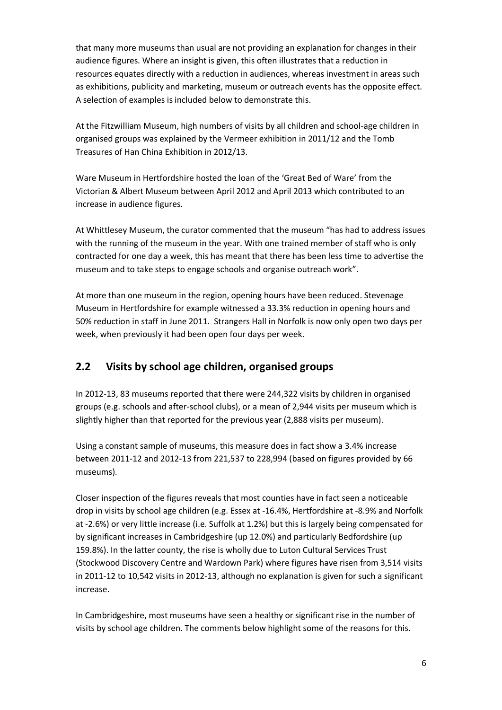that many more museums than usual are not providing an explanation for changes in their audience figures. Where an insight is given, this often illustrates that a reduction in resources equates directly with a reduction in audiences, whereas investment in areas such as exhibitions, publicity and marketing, museum or outreach events has the opposite effect. A selection of examples is included below to demonstrate this.

At the Fitzwilliam Museum, high numbers of visits by all children and school-age children in organised groups was explained by the Vermeer exhibition in 2011/12 and the Tomb Treasures of Han China Exhibition in 2012/13.

Ware Museum in Hertfordshire hosted the loan of the 'Great Bed of Ware' from the Victorian & Albert Museum between April 2012 and April 2013 which contributed to an increase in audience figures.

At Whittlesey Museum, the curator commented that the museum "has had to address issues with the running of the museum in the year. With one trained member of staff who is only contracted for one day a week, this has meant that there has been less time to advertise the museum and to take steps to engage schools and organise outreach work".

At more than one museum in the region, opening hours have been reduced. Stevenage Museum in Hertfordshire for example witnessed a 33.3% reduction in opening hours and 50% reduction in staff in June 2011. Strangers Hall in Norfolk is now only open two days per week, when previously it had been open four days per week.

### **2.2 Visits by school age children, organised groups**

In 2012-13, 83 museums reported that there were 244,322 visits by children in organised groups (e.g. schools and after-school clubs), or a mean of 2,944 visits per museum which is slightly higher than that reported for the previous year (2,888 visits per museum).

Using a constant sample of museums, this measure does in fact show a 3.4% increase between 2011-12 and 2012-13 from 221,537 to 228,994 (based on figures provided by 66 museums).

Closer inspection of the figures reveals that most counties have in fact seen a noticeable drop in visits by school age children (e.g. Essex at -16.4%, Hertfordshire at -8.9% and Norfolk at -2.6%) or very little increase (i.e. Suffolk at 1.2%) but this is largely being compensated for by significant increases in Cambridgeshire (up 12.0%) and particularly Bedfordshire (up 159.8%). In the latter county, the rise is wholly due to Luton Cultural Services Trust (Stockwood Discovery Centre and Wardown Park) where figures have risen from 3,514 visits in 2011-12 to 10,542 visits in 2012-13, although no explanation is given for such a significant increase.

In Cambridgeshire, most museums have seen a healthy or significant rise in the number of visits by school age children. The comments below highlight some of the reasons for this.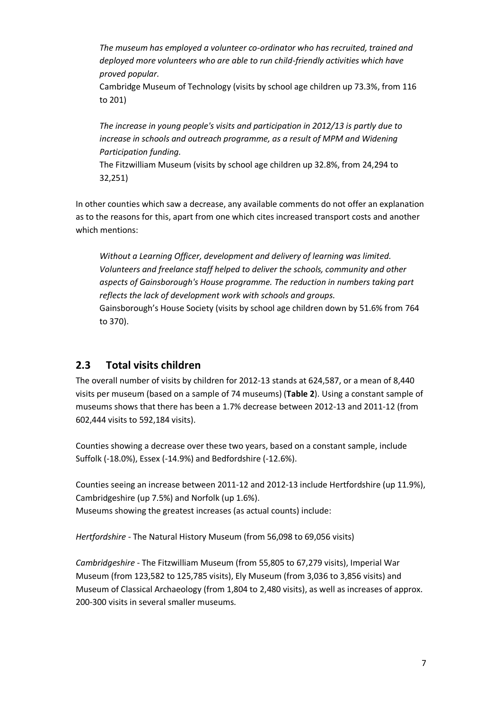*The museum has employed a volunteer co-ordinator who has recruited, trained and deployed more volunteers who are able to run child-friendly activities which have proved popular.* 

Cambridge Museum of Technology (visits by school age children up 73.3%, from 116 to 201)

*The increase in young people's visits and participation in 2012/13 is partly due to increase in schools and outreach programme, as a result of MPM and Widening Participation funding.* 

The Fitzwilliam Museum (visits by school age children up 32.8%, from 24,294 to 32,251)

In other counties which saw a decrease, any available comments do not offer an explanation as to the reasons for this, apart from one which cites increased transport costs and another which mentions:

*Without a Learning Officer, development and delivery of learning was limited. Volunteers and freelance staff helped to deliver the schools, community and other aspects of Gainsborough's House programme. The reduction in numbers taking part reflects the lack of development work with schools and groups.*  Gainsborough's House Society (visits by school age children down by 51.6% from 764 to 370).

#### **2.3 Total visits children**

The overall number of visits by children for 2012-13 stands at 624,587, or a mean of 8,440 visits per museum (based on a sample of 74 museums) (**Table 2**). Using a constant sample of museums shows that there has been a 1.7% decrease between 2012-13 and 2011-12 (from 602,444 visits to 592,184 visits).

Counties showing a decrease over these two years, based on a constant sample, include Suffolk (-18.0%), Essex (-14.9%) and Bedfordshire (-12.6%).

Counties seeing an increase between 2011-12 and 2012-13 include Hertfordshire (up 11.9%), Cambridgeshire (up 7.5%) and Norfolk (up 1.6%). Museums showing the greatest increases (as actual counts) include:

*Hertfordshire* - The Natural History Museum (from 56,098 to 69,056 visits)

*Cambridgeshire* - The Fitzwilliam Museum (from 55,805 to 67,279 visits), Imperial War Museum (from 123,582 to 125,785 visits), Ely Museum (from 3,036 to 3,856 visits) and Museum of Classical Archaeology (from 1,804 to 2,480 visits), as well as increases of approx. 200-300 visits in several smaller museums.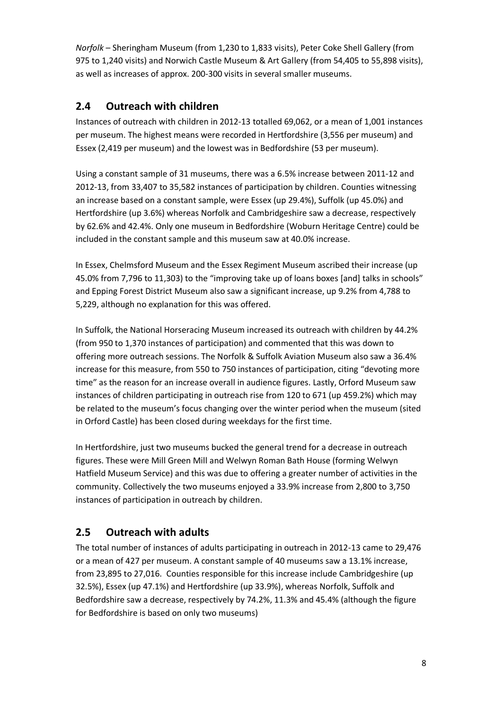*Norfolk* – Sheringham Museum (from 1,230 to 1,833 visits), Peter Coke Shell Gallery (from 975 to 1,240 visits) and Norwich Castle Museum & Art Gallery (from 54,405 to 55,898 visits), as well as increases of approx. 200-300 visits in several smaller museums.

## **2.4 Outreach with children**

Instances of outreach with children in 2012-13 totalled 69,062, or a mean of 1,001 instances per museum. The highest means were recorded in Hertfordshire (3,556 per museum) and Essex (2,419 per museum) and the lowest was in Bedfordshire (53 per museum).

Using a constant sample of 31 museums, there was a 6.5% increase between 2011-12 and 2012-13, from 33,407 to 35,582 instances of participation by children. Counties witnessing an increase based on a constant sample, were Essex (up 29.4%), Suffolk (up 45.0%) and Hertfordshire (up 3.6%) whereas Norfolk and Cambridgeshire saw a decrease, respectively by 62.6% and 42.4%. Only one museum in Bedfordshire (Woburn Heritage Centre) could be included in the constant sample and this museum saw at 40.0% increase.

In Essex, Chelmsford Museum and the Essex Regiment Museum ascribed their increase (up 45.0% from 7,796 to 11,303) to the "improving take up of loans boxes [and] talks in schools" and Epping Forest District Museum also saw a significant increase, up 9.2% from 4,788 to 5,229, although no explanation for this was offered.

In Suffolk, the National Horseracing Museum increased its outreach with children by 44.2% (from 950 to 1,370 instances of participation) and commented that this was down to offering more outreach sessions. The Norfolk & Suffolk Aviation Museum also saw a 36.4% increase for this measure, from 550 to 750 instances of participation, citing "devoting more time" as the reason for an increase overall in audience figures. Lastly, Orford Museum saw instances of children participating in outreach rise from 120 to 671 (up 459.2%) which may be related to the museum's focus changing over the winter period when the museum (sited in Orford Castle) has been closed during weekdays for the first time.

In Hertfordshire, just two museums bucked the general trend for a decrease in outreach figures. These were Mill Green Mill and Welwyn Roman Bath House (forming Welwyn Hatfield Museum Service) and this was due to offering a greater number of activities in the community. Collectively the two museums enjoyed a 33.9% increase from 2,800 to 3,750 instances of participation in outreach by children.

## **2.5 Outreach with adults**

The total number of instances of adults participating in outreach in 2012-13 came to 29,476 or a mean of 427 per museum. A constant sample of 40 museums saw a 13.1% increase, from 23,895 to 27,016. Counties responsible for this increase include Cambridgeshire (up 32.5%), Essex (up 47.1%) and Hertfordshire (up 33.9%), whereas Norfolk, Suffolk and Bedfordshire saw a decrease, respectively by 74.2%, 11.3% and 45.4% (although the figure for Bedfordshire is based on only two museums)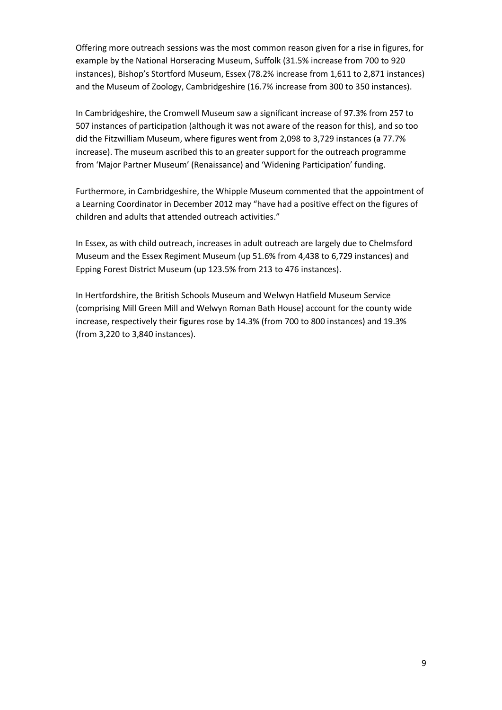Offering more outreach sessions was the most common reason given for a rise in figures, for example by the National Horseracing Museum, Suffolk (31.5% increase from 700 to 920 instances), Bishop's Stortford Museum, Essex (78.2% increase from 1,611 to 2,871 instances) and the Museum of Zoology, Cambridgeshire (16.7% increase from 300 to 350 instances).

In Cambridgeshire, the Cromwell Museum saw a significant increase of 97.3% from 257 to 507 instances of participation (although it was not aware of the reason for this), and so too did the Fitzwilliam Museum, where figures went from 2,098 to 3,729 instances (a 77.7% increase). The museum ascribed this to an greater support for the outreach programme from 'Major Partner Museum' (Renaissance) and 'Widening Participation' funding.

Furthermore, in Cambridgeshire, the Whipple Museum commented that the appointment of a Learning Coordinator in December 2012 may "have had a positive effect on the figures of children and adults that attended outreach activities."

In Essex, as with child outreach, increases in adult outreach are largely due to Chelmsford Museum and the Essex Regiment Museum (up 51.6% from 4,438 to 6,729 instances) and Epping Forest District Museum (up 123.5% from 213 to 476 instances).

In Hertfordshire, the British Schools Museum and Welwyn Hatfield Museum Service (comprising Mill Green Mill and Welwyn Roman Bath House) account for the county wide increase, respectively their figures rose by 14.3% (from 700 to 800 instances) and 19.3% (from 3,220 to 3,840 instances).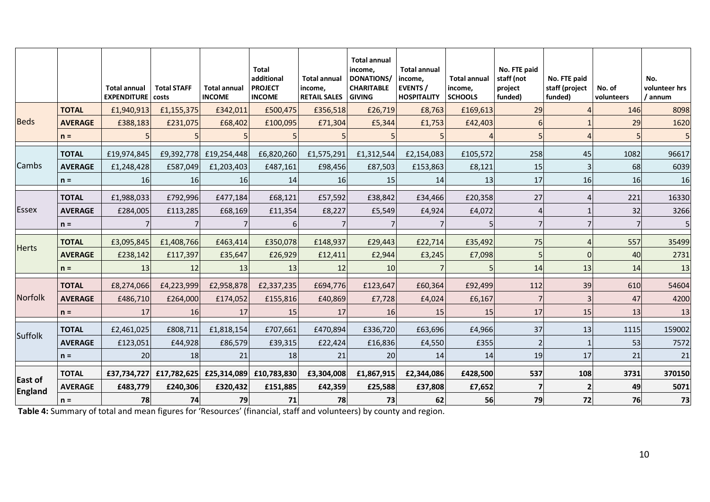|                                  |                | <b>Total annual</b><br><b>EXPENDITURE</b> | <b>Total STAFF</b><br>costs | <b>Total annual</b><br><b>INCOME</b> | <b>Total</b><br>additional<br><b>PROJECT</b><br><b>INCOME</b> | <b>Total annual</b><br>income,<br><b>RETAIL SALES</b> | <b>Total annual</b><br>income,<br><b>DONATIONS/</b><br><b>CHARITABLE</b><br><b>GIVING</b> | <b>Total annual</b><br>income,<br><b>EVENTS</b> /<br><b>HOSPITALITY</b> | <b>Total annual</b><br>income,<br><b>SCHOOLS</b> | No. FTE paid<br>staff (not<br>project<br>funded) | No. FTE paid<br>staff (project<br>funded) | No. of<br>volunteers | No.<br>volunteer hrs<br>/ annum |
|----------------------------------|----------------|-------------------------------------------|-----------------------------|--------------------------------------|---------------------------------------------------------------|-------------------------------------------------------|-------------------------------------------------------------------------------------------|-------------------------------------------------------------------------|--------------------------------------------------|--------------------------------------------------|-------------------------------------------|----------------------|---------------------------------|
|                                  | <b>TOTAL</b>   | £1,940,913                                | £1,155,375                  | £342,011                             | £500,475                                                      | £356,518                                              | £26,719                                                                                   | £8,763                                                                  | £169,613                                         | 29                                               |                                           | 146                  | 8098                            |
| <b>Beds</b>                      | <b>AVERAGE</b> | £388,183                                  | £231,075                    | £68,402                              | £100,095                                                      | £71,304                                               | £5,344                                                                                    | £1,753                                                                  | £42,403                                          |                                                  |                                           | 29                   | 1620                            |
|                                  | $n =$          |                                           |                             |                                      |                                                               |                                                       |                                                                                           |                                                                         |                                                  |                                                  |                                           |                      |                                 |
|                                  | <b>TOTAL</b>   | £19,974,845                               | £9,392,778                  | £19,254,448                          | £6,820,260                                                    | £1,575,291                                            | £1,312,544                                                                                | £2,154,083                                                              | £105,572                                         | 258                                              | 45                                        | 1082                 | 96617                           |
| Cambs                            | <b>AVERAGE</b> | £1,248,428                                | £587,049                    | £1,203,403                           | £487,161                                                      | £98,456                                               | £87,503                                                                                   | £153,863                                                                | £8,121                                           | 15                                               |                                           | 68                   | 6039                            |
|                                  | $n =$          | 16                                        | 16                          | 16                                   | 14                                                            | 16                                                    | 15                                                                                        | 14                                                                      | 13                                               | 17                                               | 16                                        | 16                   | 16                              |
|                                  | <b>TOTAL</b>   | £1,988,033                                | £792,996                    | £477,184                             | £68,121                                                       | £57,592                                               | £38,842                                                                                   | £34,466                                                                 | £20,358                                          | 27                                               |                                           | 221                  | 16330                           |
| <b>Essex</b>                     | <b>AVERAGE</b> | £284,005                                  | £113,285                    | £68,169                              | £11,354                                                       | £8,227                                                | £5,549                                                                                    | £4,924                                                                  | £4,072                                           | 4                                                |                                           | 32                   | 3266                            |
|                                  | $n =$          |                                           |                             |                                      |                                                               |                                                       |                                                                                           |                                                                         |                                                  |                                                  |                                           |                      |                                 |
| <b>Herts</b>                     | <b>TOTAL</b>   | £3,095,845                                | £1,408,766                  | £463,414                             | £350,078                                                      | £148,937                                              | £29,443                                                                                   | £22,714                                                                 | £35,492                                          | 75                                               |                                           | 557                  | 35499                           |
|                                  | <b>AVERAGE</b> | £238,142                                  | £117,397                    | £35,647                              | £26,929                                                       | £12,411                                               | £2,944                                                                                    | £3,245                                                                  | £7,098                                           |                                                  | U                                         | 40                   | 2731                            |
|                                  | $n =$          | 13                                        | 12                          | 13                                   | 13                                                            | 12                                                    | 10                                                                                        |                                                                         |                                                  | 14                                               | 13                                        | 14                   | 13                              |
|                                  | <b>TOTAL</b>   | £8,274,066                                | £4,223,999                  | £2,958,878                           | £2,337,235                                                    | £694,776                                              | £123,647                                                                                  | £60,364                                                                 | £92,499                                          | 112                                              | 39                                        | 610                  | 54604                           |
| <b>Norfolk</b>                   | <b>AVERAGE</b> | £486,710                                  | £264,000                    | £174,052                             | £155,816                                                      | £40,869                                               | £7,728                                                                                    | £4,024                                                                  | £6,167                                           |                                                  |                                           | 47                   | 4200                            |
|                                  | $n =$          | 17                                        | <b>16</b>                   | 17                                   | 15                                                            | 17                                                    | 16                                                                                        | <b>15</b>                                                               | 15                                               | 17                                               | 15                                        | 13                   | 13                              |
| Suffolk                          | <b>TOTAL</b>   | £2,461,025                                | £808,711                    | £1,818,154                           | £707,661                                                      | £470,894                                              | £336,720                                                                                  | £63,696                                                                 | £4,966                                           | 37                                               | 13                                        | 1115                 | 159002                          |
|                                  | <b>AVERAGE</b> | £123,051                                  | £44,928                     | £86,579                              | £39,315                                                       | £22,424                                               | £16,836                                                                                   | £4,550                                                                  | £355                                             |                                                  |                                           | 53                   | 7572                            |
|                                  | $n =$          | 20                                        | <b>18</b>                   | 21                                   | 18                                                            | 21                                                    | 20                                                                                        | 14                                                                      | 14                                               | 19                                               | 17                                        | 21                   | 21                              |
|                                  | <b>TOTAL</b>   | £37,734,727                               | £17,782,625                 | £25,314,089                          | £10,783,830                                                   | £3,304,008                                            | £1,867,915                                                                                | £2,344,086                                                              | £428,500                                         | 537                                              | 108                                       | 3731                 | 370150                          |
| <b>East of</b><br><b>England</b> | <b>AVERAGE</b> | £483,779                                  | £240,306                    | £320,432                             | £151,885                                                      | £42,359                                               | £25,588                                                                                   | £37,808                                                                 | £7,652                                           |                                                  |                                           | 49                   | 5071                            |
|                                  | $n =$          | 78                                        | 74                          | 79                                   | 71                                                            | 78                                                    | 73                                                                                        | 62                                                                      | 56                                               | 79                                               | 72                                        | 76                   | 73                              |

**Table 4:** Summary of total and mean figures for 'Resources' (financial, staff and volunteers) by county and region.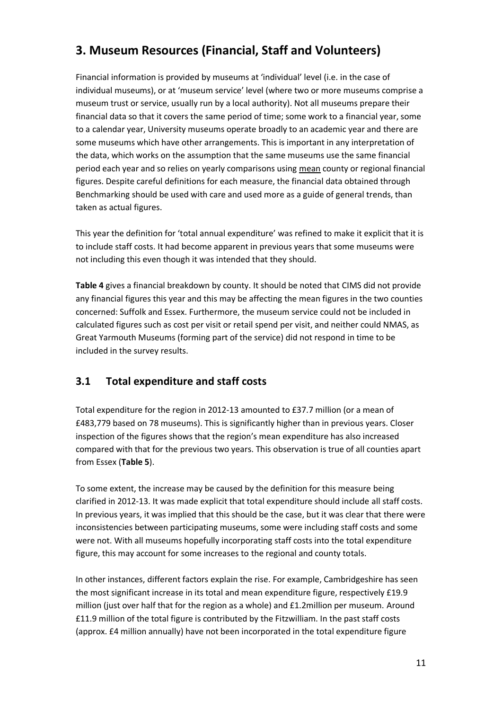## **3. Museum Resources (Financial, Staff and Volunteers)**

Financial information is provided by museums at 'individual' level (i.e. in the case of individual museums), or at 'museum service' level (where two or more museums comprise a museum trust or service, usually run by a local authority). Not all museums prepare their financial data so that it covers the same period of time; some work to a financial year, some to a calendar year, University museums operate broadly to an academic year and there are some museums which have other arrangements. This is important in any interpretation of the data, which works on the assumption that the same museums use the same financial period each year and so relies on yearly comparisons using mean county or regional financial figures. Despite careful definitions for each measure, the financial data obtained through Benchmarking should be used with care and used more as a guide of general trends, than taken as actual figures.

This year the definition for 'total annual expenditure' was refined to make it explicit that it is to include staff costs. It had become apparent in previous years that some museums were not including this even though it was intended that they should.

**Table 4** gives a financial breakdown by county. It should be noted that CIMS did not provide any financial figures this year and this may be affecting the mean figures in the two counties concerned: Suffolk and Essex. Furthermore, the museum service could not be included in calculated figures such as cost per visit or retail spend per visit, and neither could NMAS, as Great Yarmouth Museums (forming part of the service) did not respond in time to be included in the survey results.

### **3.1 Total expenditure and staff costs**

Total expenditure for the region in 2012-13 amounted to £37.7 million (or a mean of £483,779 based on 78 museums). This is significantly higher than in previous years. Closer inspection of the figures shows that the region's mean expenditure has also increased compared with that for the previous two years. This observation is true of all counties apart from Essex (**Table 5**).

To some extent, the increase may be caused by the definition for this measure being clarified in 2012-13. It was made explicit that total expenditure should include all staff costs. In previous years, it was implied that this should be the case, but it was clear that there were inconsistencies between participating museums, some were including staff costs and some were not. With all museums hopefully incorporating staff costs into the total expenditure figure, this may account for some increases to the regional and county totals.

In other instances, different factors explain the rise. For example, Cambridgeshire has seen the most significant increase in its total and mean expenditure figure, respectively £19.9 million (just over half that for the region as a whole) and £1.2million per museum. Around £11.9 million of the total figure is contributed by the Fitzwilliam. In the past staff costs (approx. £4 million annually) have not been incorporated in the total expenditure figure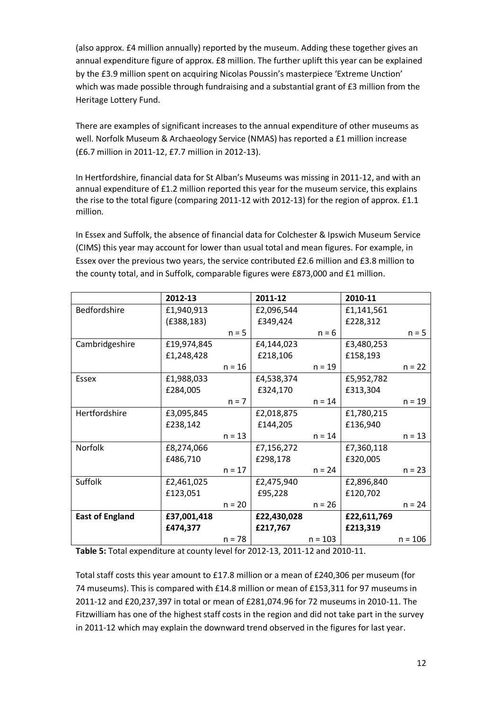(also approx. £4 million annually) reported by the museum. Adding these together gives an annual expenditure figure of approx. £8 million. The further uplift this year can be explained by the £3.9 million spent on acquiring Nicolas Poussin's masterpiece 'Extreme Unction' which was made possible through fundraising and a substantial grant of £3 million from the Heritage Lottery Fund.

There are examples of significant increases to the annual expenditure of other museums as well. Norfolk Museum & Archaeology Service (NMAS) has reported a £1 million increase (£6.7 million in 2011-12, £7.7 million in 2012-13).

In Hertfordshire, financial data for St Alban's Museums was missing in 2011-12, and with an annual expenditure of £1.2 million reported this year for the museum service, this explains the rise to the total figure (comparing 2011-12 with 2012-13) for the region of approx. £1.1 million.

In Essex and Suffolk, the absence of financial data for Colchester & Ipswich Museum Service (CIMS) this year may account for lower than usual total and mean figures. For example, in Essex over the previous two years, the service contributed £2.6 million and £3.8 million to the county total, and in Suffolk, comparable figures were £873,000 and £1 million.

|                        | 2012-13     |          | 2011-12     |           | 2010-11     |           |
|------------------------|-------------|----------|-------------|-----------|-------------|-----------|
| Bedfordshire           | £1,940,913  |          | £2,096,544  |           | £1,141,561  |           |
|                        | (E388, 183) |          | £349,424    |           | £228,312    |           |
|                        |             | $n = 5$  |             | $n = 6$   |             | $n = 5$   |
| Cambridgeshire         | £19,974,845 |          | £4,144,023  |           | £3,480,253  |           |
|                        | £1,248,428  |          | £218,106    |           | £158,193    |           |
|                        |             | $n = 16$ |             | $n = 19$  |             | $n = 22$  |
| Essex                  | £1,988,033  |          | £4,538,374  |           | £5,952,782  |           |
|                        | £284,005    |          | £324,170    |           | £313,304    |           |
|                        |             | $n = 7$  |             | $n = 14$  |             | $n = 19$  |
| Hertfordshire          | £3,095,845  |          | £2,018,875  |           | £1,780,215  |           |
|                        | £238,142    |          | £144,205    |           | £136,940    |           |
|                        |             | $n = 13$ |             | $n = 14$  |             | $n = 13$  |
| Norfolk                | £8,274,066  |          | £7,156,272  |           | £7,360,118  |           |
|                        | £486,710    |          | £298,178    |           | £320,005    |           |
|                        |             | $n = 17$ |             | $n = 24$  |             | $n = 23$  |
| Suffolk                | £2,461,025  |          | £2,475,940  |           | £2,896,840  |           |
|                        | £123,051    |          | £95,228     |           | £120,702    |           |
|                        |             | $n = 20$ |             | $n = 26$  |             | $n = 24$  |
| <b>East of England</b> | £37,001,418 |          | £22,430,028 |           | £22,611,769 |           |
|                        | £474,377    |          | £217,767    |           | £213,319    |           |
|                        |             | $n = 78$ |             | $n = 103$ |             | $n = 106$ |

**Table 5:** Total expenditure at county level for 2012-13, 2011-12 and 2010-11.

Total staff costs this year amount to £17.8 million or a mean of £240,306 per museum (for 74 museums). This is compared with £14.8 million or mean of £153,311 for 97 museums in 2011-12 and £20,237,397 in total or mean of £281,074.96 for 72 museums in 2010-11. The Fitzwilliam has one of the highest staff costs in the region and did not take part in the survey in 2011-12 which may explain the downward trend observed in the figures for last year.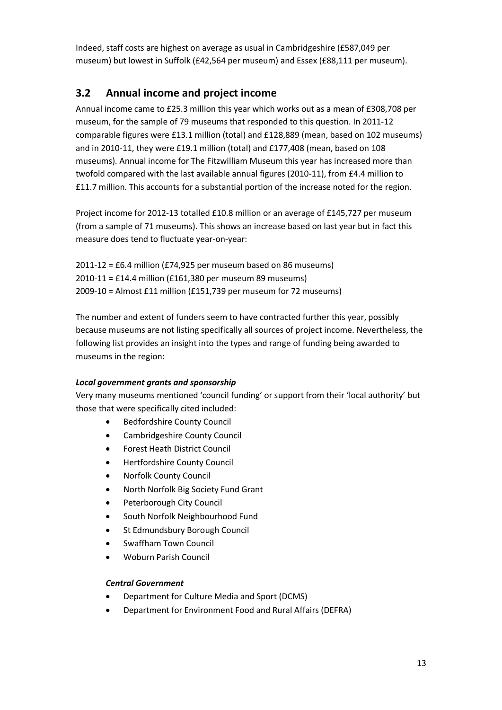Indeed, staff costs are highest on average as usual in Cambridgeshire (£587,049 per museum) but lowest in Suffolk (£42,564 per museum) and Essex (£88,111 per museum).

## **3.2 Annual income and project income**

Annual income came to £25.3 million this year which works out as a mean of £308,708 per museum, for the sample of 79 museums that responded to this question. In 2011-12 comparable figures were £13.1 million (total) and £128,889 (mean, based on 102 museums) and in 2010-11, they were £19.1 million (total) and £177,408 (mean, based on 108 museums). Annual income for The Fitzwilliam Museum this year has increased more than twofold compared with the last available annual figures (2010-11), from £4.4 million to £11.7 million. This accounts for a substantial portion of the increase noted for the region.

Project income for 2012-13 totalled £10.8 million or an average of £145,727 per museum (from a sample of 71 museums). This shows an increase based on last year but in fact this measure does tend to fluctuate year-on-year:

2011-12 = £6.4 million (£74,925 per museum based on 86 museums) 2010-11 = £14.4 million (£161,380 per museum 89 museums) 2009-10 = Almost £11 million (£151,739 per museum for 72 museums)

The number and extent of funders seem to have contracted further this year, possibly because museums are not listing specifically all sources of project income. Nevertheless, the following list provides an insight into the types and range of funding being awarded to museums in the region:

#### *Local government grants and sponsorship*

Very many museums mentioned 'council funding' or support from their 'local authority' but those that were specifically cited included:

- **•** Bedfordshire County Council
- Cambridgeshire County Council
- Forest Heath District Council
- Hertfordshire County Council
- Norfolk County Council
- North Norfolk Big Society Fund Grant
- Peterborough City Council
- South Norfolk Neighbourhood Fund
- St Edmundsbury Borough Council
- Swaffham Town Council
- Woburn Parish Council

#### *Central Government*

- Department for Culture Media and Sport (DCMS)
- Department for Environment Food and Rural Affairs (DEFRA)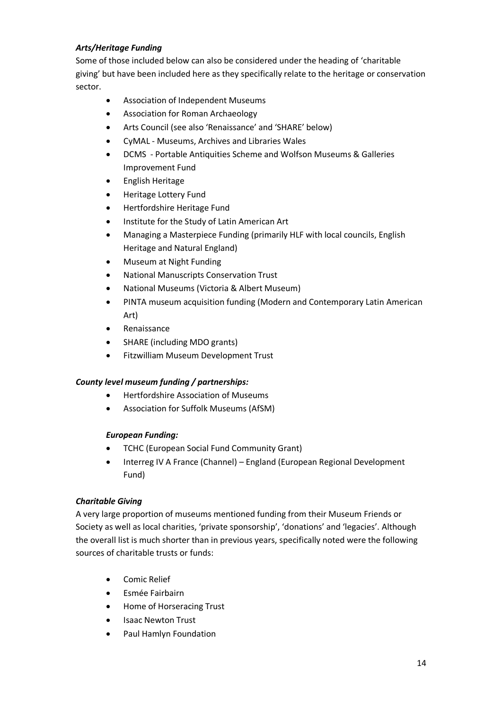#### *Arts/Heritage Funding*

Some of those included below can also be considered under the heading of 'charitable giving' but have been included here as they specifically relate to the heritage or conservation sector.

- Association of Independent Museums
- Association for Roman Archaeology
- Arts Council (see also 'Renaissance' and 'SHARE' below)
- CyMAL Museums, Archives and Libraries Wales
- DCMS Portable Antiquities Scheme and Wolfson Museums & Galleries Improvement Fund
- **•** English Heritage
- **•** Heritage Lottery Fund
- Hertfordshire Heritage Fund
- Institute for the Study of Latin American Art
- Managing a Masterpiece Funding (primarily HLF with local councils, English Heritage and Natural England)
- Museum at Night Funding
- National Manuscripts Conservation Trust
- National Museums (Victoria & Albert Museum)
- PINTA museum acquisition funding (Modern and Contemporary Latin American Art)
- Renaissance
- SHARE (including MDO grants)
- Fitzwilliam Museum Development Trust

#### *County level museum funding / partnerships:*

- Hertfordshire Association of Museums
- Association for Suffolk Museums (AfSM)

#### *European Funding:*

- TCHC (European Social Fund Community Grant)
- Interreg IV A France (Channel) England (European Regional Development Fund)

#### *Charitable Giving*

A very large proportion of museums mentioned funding from their Museum Friends or Society as well as local charities, 'private sponsorship', 'donations' and 'legacies'. Although the overall list is much shorter than in previous years, specifically noted were the following sources of charitable trusts or funds:

- Comic Relief
- Esmée Fairbairn
- Home of Horseracing Trust
- Isaac Newton Trust
- Paul Hamlyn Foundation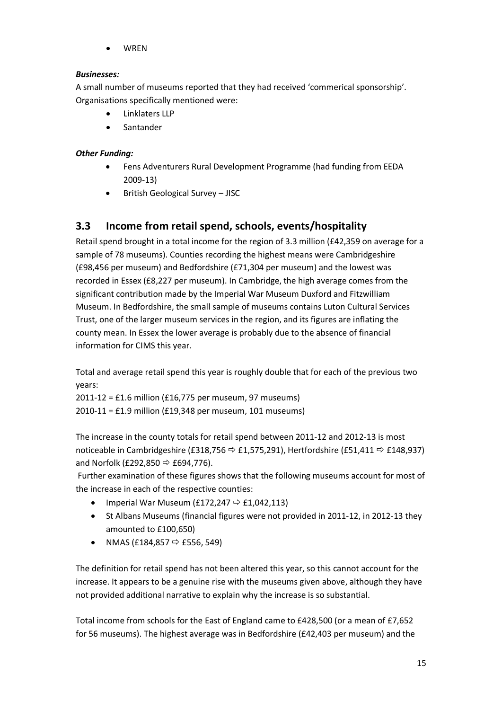WREN

#### *Businesses:*

A small number of museums reported that they had received 'commerical sponsorship'. Organisations specifically mentioned were:

- Linklaters LLP
- Santander

#### *Other Funding:*

- Fens Adventurers Rural Development Programme (had funding from EEDA 2009-13)
- British Geological Survey JISC

## **3.3 Income from retail spend, schools, events/hospitality**

Retail spend brought in a total income for the region of 3.3 million (£42,359 on average for a sample of 78 museums). Counties recording the highest means were Cambridgeshire (£98,456 per museum) and Bedfordshire (£71,304 per museum) and the lowest was recorded in Essex (£8,227 per museum). In Cambridge, the high average comes from the significant contribution made by the Imperial War Museum Duxford and Fitzwilliam Museum. In Bedfordshire, the small sample of museums contains Luton Cultural Services Trust, one of the larger museum services in the region, and its figures are inflating the county mean. In Essex the lower average is probably due to the absence of financial information for CIMS this year.

Total and average retail spend this year is roughly double that for each of the previous two years:

2011-12 = £1.6 million (£16,775 per museum, 97 museums) 2010-11 = £1.9 million (£19,348 per museum, 101 museums)

The increase in the county totals for retail spend between 2011-12 and 2012-13 is most noticeable in Cambridgeshire (£318,756  $\Rightarrow$  £1,575,291), Hertfordshire (£51,411  $\Rightarrow$  £148,937) and Norfolk (£292,850  $\Rightarrow$  £694,776).

Further examination of these figures shows that the following museums account for most of the increase in each of the respective counties:

- Imperial War Museum (£172,247  $\Rightarrow$  £1,042,113)
- St Albans Museums (financial figures were not provided in 2011-12, in 2012-13 they amounted to £100,650)
- NMAS (£184,857  $\Leftrightarrow$  £556, 549)

The definition for retail spend has not been altered this year, so this cannot account for the increase. It appears to be a genuine rise with the museums given above, although they have not provided additional narrative to explain why the increase is so substantial.

Total income from schools for the East of England came to £428,500 (or a mean of £7,652 for 56 museums). The highest average was in Bedfordshire (£42,403 per museum) and the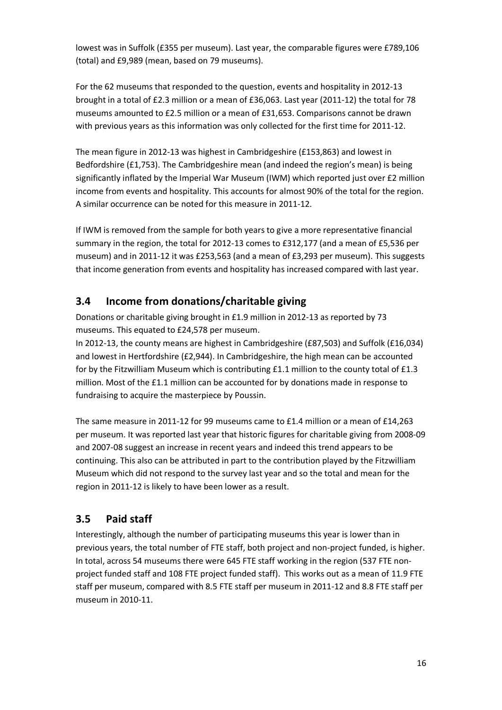lowest was in Suffolk (£355 per museum). Last year, the comparable figures were £789,106 (total) and £9,989 (mean, based on 79 museums).

For the 62 museums that responded to the question, events and hospitality in 2012-13 brought in a total of £2.3 million or a mean of £36,063. Last year (2011-12) the total for 78 museums amounted to £2.5 million or a mean of £31,653. Comparisons cannot be drawn with previous years as this information was only collected for the first time for 2011-12.

The mean figure in 2012-13 was highest in Cambridgeshire (£153,863) and lowest in Bedfordshire (£1,753). The Cambridgeshire mean (and indeed the region's mean) is being significantly inflated by the Imperial War Museum (IWM) which reported just over £2 million income from events and hospitality. This accounts for almost 90% of the total for the region. A similar occurrence can be noted for this measure in 2011-12.

If IWM is removed from the sample for both years to give a more representative financial summary in the region, the total for 2012-13 comes to £312,177 (and a mean of £5,536 per museum) and in 2011-12 it was £253,563 (and a mean of £3,293 per museum). This suggests that income generation from events and hospitality has increased compared with last year.

## **3.4 Income from donations/charitable giving**

Donations or charitable giving brought in £1.9 million in 2012-13 as reported by 73 museums. This equated to £24,578 per museum.

In 2012-13, the county means are highest in Cambridgeshire (£87,503) and Suffolk (£16,034) and lowest in Hertfordshire (£2,944). In Cambridgeshire, the high mean can be accounted for by the Fitzwilliam Museum which is contributing £1.1 million to the county total of £1.3 million. Most of the £1.1 million can be accounted for by donations made in response to fundraising to acquire the masterpiece by Poussin.

The same measure in 2011-12 for 99 museums came to £1.4 million or a mean of £14,263 per museum. It was reported last year that historic figures for charitable giving from 2008-09 and 2007-08 suggest an increase in recent years and indeed this trend appears to be continuing. This also can be attributed in part to the contribution played by the Fitzwilliam Museum which did not respond to the survey last year and so the total and mean for the region in 2011-12 is likely to have been lower as a result.

## **3.5 Paid staff**

Interestingly, although the number of participating museums this year is lower than in previous years, the total number of FTE staff, both project and non-project funded, is higher. In total, across 54 museums there were 645 FTE staff working in the region (537 FTE nonproject funded staff and 108 FTE project funded staff). This works out as a mean of 11.9 FTE staff per museum, compared with 8.5 FTE staff per museum in 2011-12 and 8.8 FTE staff per museum in 2010-11.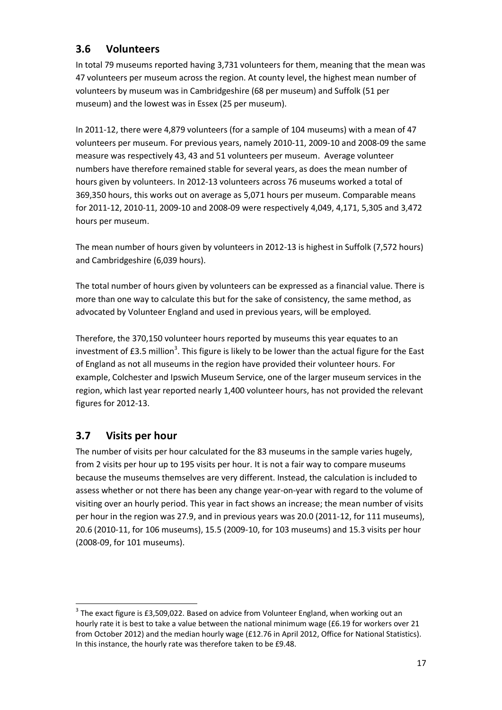## **3.6 Volunteers**

In total 79 museums reported having 3,731 volunteers for them, meaning that the mean was 47 volunteers per museum across the region. At county level, the highest mean number of volunteers by museum was in Cambridgeshire (68 per museum) and Suffolk (51 per museum) and the lowest was in Essex (25 per museum).

In 2011-12, there were 4,879 volunteers (for a sample of 104 museums) with a mean of 47 volunteers per museum. For previous years, namely 2010-11, 2009-10 and 2008-09 the same measure was respectively 43, 43 and 51 volunteers per museum. Average volunteer numbers have therefore remained stable for several years, as does the mean number of hours given by volunteers. In 2012-13 volunteers across 76 museums worked a total of 369,350 hours, this works out on average as 5,071 hours per museum. Comparable means for 2011-12, 2010-11, 2009-10 and 2008-09 were respectively 4,049, 4,171, 5,305 and 3,472 hours per museum.

The mean number of hours given by volunteers in 2012-13 is highest in Suffolk (7,572 hours) and Cambridgeshire (6,039 hours).

The total number of hours given by volunteers can be expressed as a financial value. There is more than one way to calculate this but for the sake of consistency, the same method, as advocated by Volunteer England and used in previous years, will be employed.

Therefore, the 370,150 volunteer hours reported by museums this year equates to an investment of £3.5 million<sup>3</sup>. This figure is likely to be lower than the actual figure for the East of England as not all museums in the region have provided their volunteer hours. For example, Colchester and Ipswich Museum Service, one of the larger museum services in the region, which last year reported nearly 1,400 volunteer hours, has not provided the relevant figures for 2012-13.

### **3.7 Visits per hour**

l

The number of visits per hour calculated for the 83 museums in the sample varies hugely, from 2 visits per hour up to 195 visits per hour. It is not a fair way to compare museums because the museums themselves are very different. Instead, the calculation is included to assess whether or not there has been any change year-on-year with regard to the volume of visiting over an hourly period. This year in fact shows an increase; the mean number of visits per hour in the region was 27.9, and in previous years was 20.0 (2011-12, for 111 museums), 20.6 (2010-11, for 106 museums), 15.5 (2009-10, for 103 museums) and 15.3 visits per hour (2008-09, for 101 museums).

 $3$  The exact figure is £3,509,022. Based on advice from Volunteer England, when working out an hourly rate it is best to take a value between the national minimum wage (£6.19 for workers over 21 from October 2012) and the median hourly wage (£12.76 in April 2012, Office for National Statistics). In this instance, the hourly rate was therefore taken to be £9.48.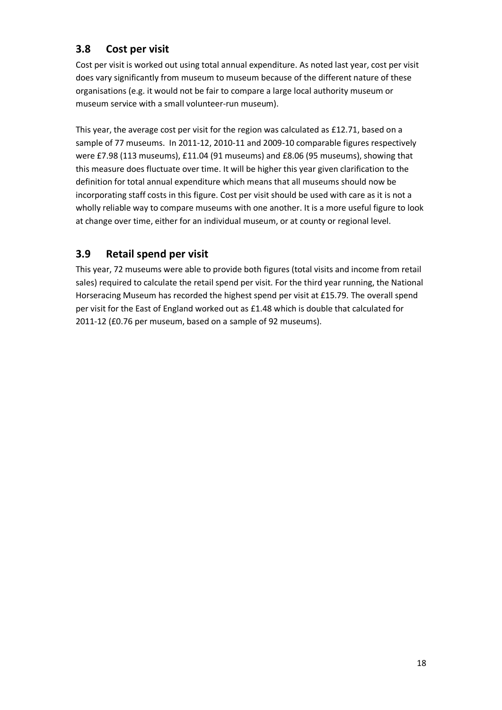## **3.8 Cost per visit**

Cost per visit is worked out using total annual expenditure. As noted last year, cost per visit does vary significantly from museum to museum because of the different nature of these organisations (e.g. it would not be fair to compare a large local authority museum or museum service with a small volunteer-run museum).

This year, the average cost per visit for the region was calculated as £12.71, based on a sample of 77 museums. In 2011-12, 2010-11 and 2009-10 comparable figures respectively were £7.98 (113 museums), £11.04 (91 museums) and £8.06 (95 museums), showing that this measure does fluctuate over time. It will be higher this year given clarification to the definition for total annual expenditure which means that all museums should now be incorporating staff costs in this figure. Cost per visit should be used with care as it is not a wholly reliable way to compare museums with one another. It is a more useful figure to look at change over time, either for an individual museum, or at county or regional level.

## **3.9 Retail spend per visit**

This year, 72 museums were able to provide both figures (total visits and income from retail sales) required to calculate the retail spend per visit. For the third year running, the National Horseracing Museum has recorded the highest spend per visit at £15.79. The overall spend per visit for the East of England worked out as £1.48 which is double that calculated for 2011-12 (£0.76 per museum, based on a sample of 92 museums).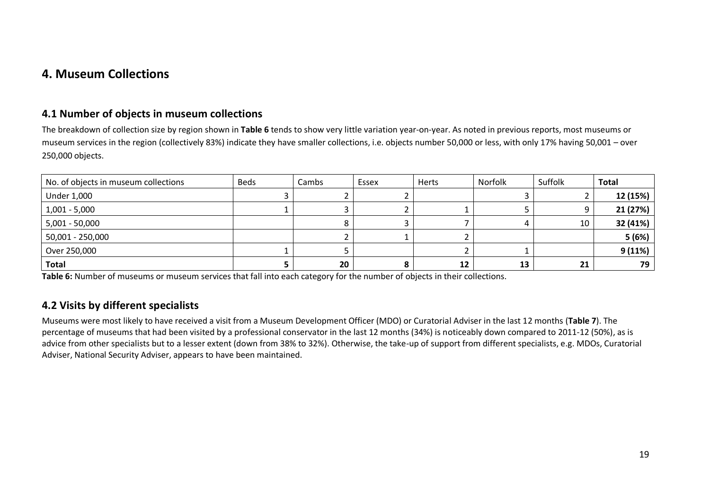## **4. Museum Collections**

#### **4.1 Number of objects in museum collections**

The breakdown of collection size by region shown in **Table 6** tends to show very little variation year-on-year. As noted in previous reports, most museums or museum services in the region (collectively 83%) indicate they have smaller collections, i.e. objects number 50,000 or less, with only 17% having 50,001 – over 250,000 objects.

| No. of objects in museum collections | <b>Beds</b> | Cambs | Essex | Herts | Norfolk | Suffolk | <b>Total</b> |
|--------------------------------------|-------------|-------|-------|-------|---------|---------|--------------|
| <b>Under 1,000</b>                   |             |       |       |       |         |         | 12 (15%)     |
| $1,001 - 5,000$                      |             |       |       |       |         |         | 21 (27%)     |
| 5,001 - 50,000                       |             |       |       |       |         | 10      | 32 (41%)     |
| 50,001 - 250,000                     |             |       |       |       |         |         | 5(6%)        |
| Over 250,000                         |             |       |       |       |         |         | 9(11%)       |
| <b>Total</b>                         |             | 20    |       | 12    | 13      | 21      | 79           |

**Table 6:** Number of museums or museum services that fall into each category for the number of objects in their collections.

### **4.2 Visits by different specialists**

Museums were most likely to have received a visit from a Museum Development Officer (MDO) or Curatorial Adviser in the last 12 months (**Table 7**). The percentage of museums that had been visited by a professional conservator in the last 12 months (34%) is noticeably down compared to 2011-12 (50%), as is advice from other specialists but to a lesser extent (down from 38% to 32%). Otherwise, the take-up of support from different specialists, e.g. MDOs, Curatorial Adviser, National Security Adviser, appears to have been maintained.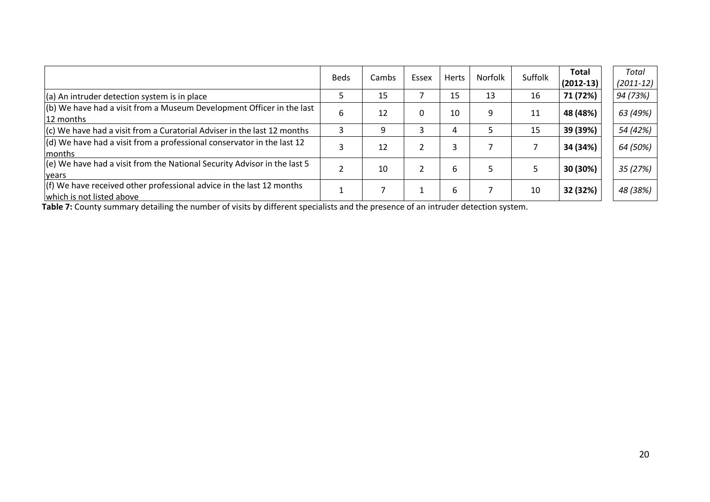|                                                                                                     | <b>Beds</b> | Cambs | Essex | <b>Herts</b> | Norfolk | Suffolk | <b>Total</b><br>$(2012-13)$ | Total<br>$(2011-12)$ |
|-----------------------------------------------------------------------------------------------------|-------------|-------|-------|--------------|---------|---------|-----------------------------|----------------------|
| $(a)$ An intruder detection system is in place                                                      |             | 15    |       | 15           | 13      | 16      | 71 (72%)                    | 94 (73%)             |
| $\vert$ (b) We have had a visit from a Museum Development Officer in the last<br>12 months          | 6           | 12    | 0     | 10           | 9       | 11      | 48 (48%)                    | 63 (49%)             |
| $ $ (c) We have had a visit from a Curatorial Adviser in the last 12 months                         |             |       |       | 4            | 5       | 15      | 39 (39%)                    | 54 (42%)             |
| $\vert$ (d) We have had a visit from a professional conservator in the last 12<br><b>Imonths</b>    | 3           | 12    |       | 3            |         |         | 34 (34%)                    | 64 (50%)             |
| $\vert$ (e) We have had a visit from the National Security Advisor in the last 5<br><b>vears</b>    |             | 10    |       | 6            | 5       |         | 30 (30%)                    | 35 (27%)             |
| $(f)$ We have received other professional advice in the last 12 months<br>which is not listed above |             |       |       | 6            |         | 10      | 32 (32%)                    | 48 (38%)             |

**Table 7:** County summary detailing the number of visits by different specialists and the presence of an intruder detection system.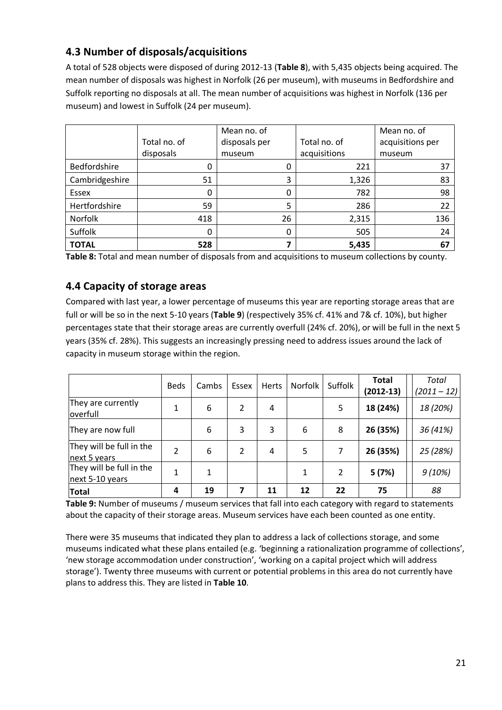## **4.3 Number of disposals/acquisitions**

A total of 528 objects were disposed of during 2012-13 (**Table 8**), with 5,435 objects being acquired. The mean number of disposals was highest in Norfolk (26 per museum), with museums in Bedfordshire and Suffolk reporting no disposals at all. The mean number of acquisitions was highest in Norfolk (136 per museum) and lowest in Suffolk (24 per museum).

|                |              | Mean no. of   |              | Mean no. of      |
|----------------|--------------|---------------|--------------|------------------|
|                | Total no. of | disposals per | Total no. of | acquisitions per |
|                | disposals    | museum        | acquisitions | museum           |
| Bedfordshire   | 0            | 0             | 221          | 37               |
| Cambridgeshire | 51           | 3             | 1,326        | 83               |
| Essex          |              |               | 782          | 98               |
| Hertfordshire  | 59           | 5             | 286          | 22               |
| Norfolk        | 418          | 26            | 2,315        | 136              |
| Suffolk        | 0            | 0             | 505          | 24               |
| <b>TOTAL</b>   | 528          |               | 5,435        | 67               |

**Table 8:** Total and mean number of disposals from and acquisitions to museum collections by county.

### **4.4 Capacity of storage areas**

Compared with last year, a lower percentage of museums this year are reporting storage areas that are full or will be so in the next 5-10 years (**Table 9**) (respectively 35% cf. 41% and 7& cf. 10%), but higher percentages state that their storage areas are currently overfull (24% cf. 20%), or will be full in the next 5 years (35% cf. 28%). This suggests an increasingly pressing need to address issues around the lack of capacity in museum storage within the region.

|                                             | <b>Beds</b>    | Cambs | Essex          | Herts | Norfolk | Suffolk | Total<br>$(2012-13)$ | Total<br>$(2011 - 12)$ |
|---------------------------------------------|----------------|-------|----------------|-------|---------|---------|----------------------|------------------------|
| They are currently<br>overfull              | 1              | 6     | $\overline{2}$ | 4     |         | 5       | 18 (24%)             | 18 (20%)               |
| They are now full                           |                | 6     | 3              | 3     | 6       | 8       | 26 (35%)             | 36 (41%)               |
| They will be full in the<br>next 5 years    | $\overline{2}$ | 6     | $\overline{2}$ | 4     | 5       | 7       | 26 (35%)             | 25 (28%)               |
| They will be full in the<br>next 5-10 years | 1              |       |                |       |         | 2       | 5(7%)                | 9(10%)                 |
| <b>Total</b>                                | 4              | 19    |                | 11    | 12      | 22      | 75                   | 88                     |

**Table 9:** Number of museums / museum services that fall into each category with regard to statements about the capacity of their storage areas. Museum services have each been counted as one entity.

There were 35 museums that indicated they plan to address a lack of collections storage, and some museums indicated what these plans entailed (e.g. 'beginning a rationalization programme of collections', 'new storage accommodation under construction', 'working on a capital project which will address storage'). Twenty three museums with current or potential problems in this area do not currently have plans to address this. They are listed in **Table 10**.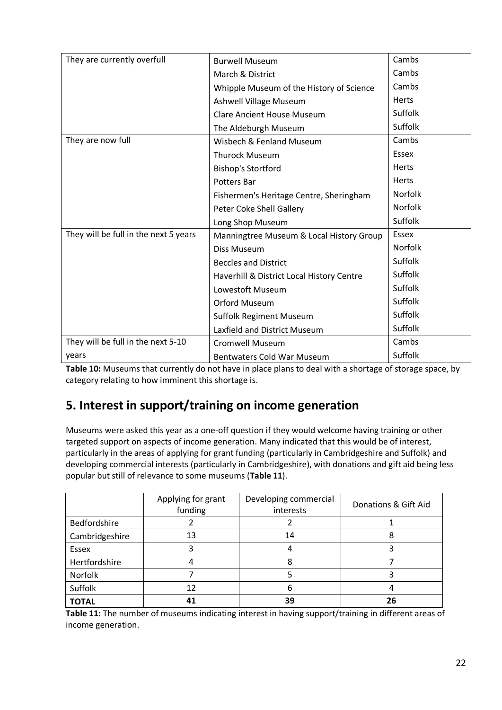| They are currently overfull           | <b>Burwell Museum</b>                     | Cambs          |
|---------------------------------------|-------------------------------------------|----------------|
|                                       | March & District                          | Cambs          |
|                                       | Whipple Museum of the History of Science  | Cambs          |
|                                       | Ashwell Village Museum                    | Herts          |
|                                       | <b>Clare Ancient House Museum</b>         | Suffolk        |
|                                       | The Aldeburgh Museum                      | Suffolk        |
| They are now full                     | Wisbech & Fenland Museum                  | Cambs          |
|                                       | <b>Thurock Museum</b>                     | Essex          |
|                                       | <b>Bishop's Stortford</b>                 | Herts          |
|                                       | <b>Potters Bar</b>                        | <b>Herts</b>   |
|                                       | Fishermen's Heritage Centre, Sheringham   | <b>Norfolk</b> |
|                                       | Peter Coke Shell Gallery                  | <b>Norfolk</b> |
|                                       | Long Shop Museum                          | Suffolk        |
| They will be full in the next 5 years | Manningtree Museum & Local History Group  | Essex          |
|                                       | Diss Museum                               | <b>Norfolk</b> |
|                                       | <b>Beccles and District</b>               | Suffolk        |
|                                       | Haverhill & District Local History Centre | Suffolk        |
|                                       | Lowestoft Museum                          | Suffolk        |
|                                       | <b>Orford Museum</b>                      | Suffolk        |
|                                       | <b>Suffolk Regiment Museum</b>            | Suffolk        |
|                                       | Laxfield and District Museum              | Suffolk        |
| They will be full in the next 5-10    | <b>Cromwell Museum</b>                    | Cambs          |
| years                                 | <b>Bentwaters Cold War Museum</b>         | Suffolk        |

**Table 10:** Museums that currently do not have in place plans to deal with a shortage of storage space, by category relating to how imminent this shortage is.

## **5. Interest in support/training on income generation**

Museums were asked this year as a one-off question if they would welcome having training or other targeted support on aspects of income generation. Many indicated that this would be of interest, particularly in the areas of applying for grant funding (particularly in Cambridgeshire and Suffolk) and developing commercial interests (particularly in Cambridgeshire), with donations and gift aid being less popular but still of relevance to some museums (**Table 11**).

|                | Applying for grant<br>funding | Developing commercial<br>interests | Donations & Gift Aid |
|----------------|-------------------------------|------------------------------------|----------------------|
| Bedfordshire   |                               |                                    |                      |
| Cambridgeshire | 13                            | 14                                 |                      |
| Essex          |                               | 4                                  |                      |
| Hertfordshire  |                               | 8                                  |                      |
| Norfolk        |                               |                                    |                      |
| Suffolk        | 12                            | h                                  |                      |
| <b>TOTAL</b>   |                               | 39                                 | 26                   |

**Table 11:** The number of museums indicating interest in having support/training in different areas of income generation.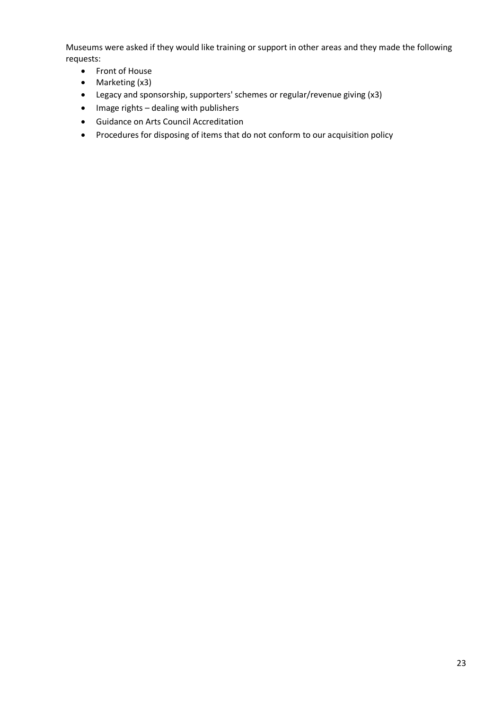Museums were asked if they would like training or support in other areas and they made the following requests:

- Front of House
- Marketing (x3)
- Legacy and sponsorship, supporters' schemes or regular/revenue giving (x3)
- $\bullet$  Image rights dealing with publishers
- Guidance on Arts Council Accreditation
- Procedures for disposing of items that do not conform to our acquisition policy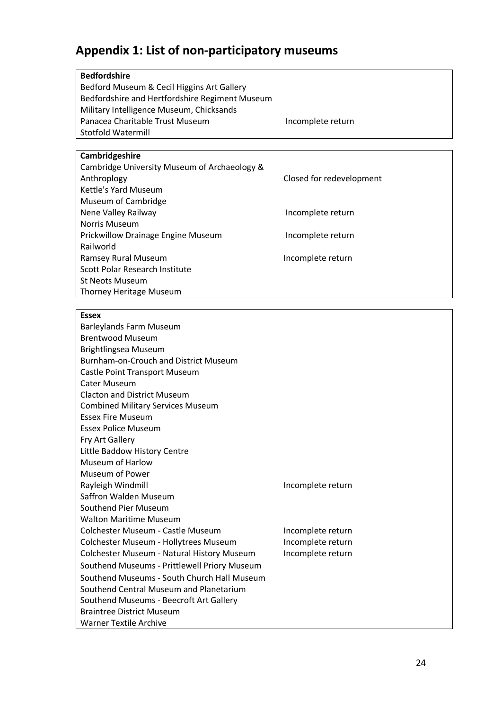# **Appendix 1: List of non-participatory museums**

| <b>Bedfordshire</b>                            |                          |  |  |  |
|------------------------------------------------|--------------------------|--|--|--|
| Bedford Museum & Cecil Higgins Art Gallery     |                          |  |  |  |
| Bedfordshire and Hertfordshire Regiment Museum |                          |  |  |  |
| Military Intelligence Museum, Chicksands       |                          |  |  |  |
| Panacea Charitable Trust Museum                | Incomplete return        |  |  |  |
| Stotfold Watermill                             |                          |  |  |  |
|                                                |                          |  |  |  |
| Cambridgeshire                                 |                          |  |  |  |
| Cambridge University Museum of Archaeology &   |                          |  |  |  |
| Anthroplogy                                    | Closed for redevelopment |  |  |  |
| Kettle's Yard Museum                           |                          |  |  |  |
| Museum of Cambridge                            |                          |  |  |  |
| Nene Valley Railway                            | Incomplete return        |  |  |  |
| <b>Norris Museum</b>                           |                          |  |  |  |
| <b>Prickwillow Drainage Engine Museum</b>      | Incomplete return        |  |  |  |
| Railworld                                      |                          |  |  |  |
| Ramsey Rural Museum                            | Incomplete return        |  |  |  |
| Scott Polar Research Institute                 |                          |  |  |  |
| <b>St Neots Museum</b>                         |                          |  |  |  |
| Thorney Heritage Museum                        |                          |  |  |  |
|                                                |                          |  |  |  |

### **Essex**

| <b>Barleylands Farm Museum</b><br><b>Brentwood Museum</b><br>Brightlingsea Museum<br><b>Burnham-on-Crouch and District Museum</b><br>Castle Point Transport Museum<br>Cater Museum |                   |
|------------------------------------------------------------------------------------------------------------------------------------------------------------------------------------|-------------------|
| <b>Clacton and District Museum</b>                                                                                                                                                 |                   |
| <b>Combined Military Services Museum</b>                                                                                                                                           |                   |
| <b>Essex Fire Museum</b>                                                                                                                                                           |                   |
| <b>Essex Police Museum</b>                                                                                                                                                         |                   |
| Fry Art Gallery                                                                                                                                                                    |                   |
| Little Baddow History Centre                                                                                                                                                       |                   |
| Museum of Harlow                                                                                                                                                                   |                   |
| Museum of Power                                                                                                                                                                    |                   |
| Rayleigh Windmill                                                                                                                                                                  | Incomplete return |
| Saffron Walden Museum                                                                                                                                                              |                   |
| Southend Pier Museum                                                                                                                                                               |                   |
| <b>Walton Maritime Museum</b>                                                                                                                                                      |                   |
| Colchester Museum - Castle Museum                                                                                                                                                  | Incomplete return |
| Colchester Museum - Hollytrees Museum                                                                                                                                              | Incomplete return |
| Colchester Museum - Natural History Museum                                                                                                                                         | Incomplete return |
| Southend Museums - Prittlewell Priory Museum                                                                                                                                       |                   |
| Southend Museums - South Church Hall Museum                                                                                                                                        |                   |
| Southend Central Museum and Planetarium                                                                                                                                            |                   |
| Southend Museums - Beecroft Art Gallery                                                                                                                                            |                   |
| <b>Braintree District Museum</b>                                                                                                                                                   |                   |
| <b>Warner Textile Archive</b>                                                                                                                                                      |                   |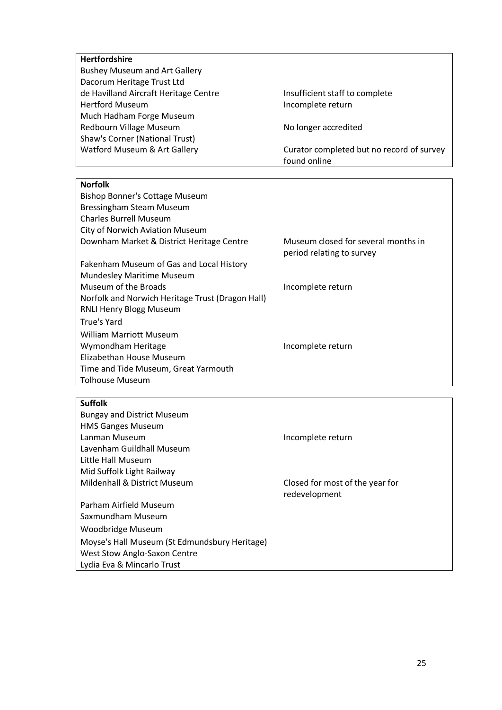| <b>Hertfordshire</b>                             |                                           |
|--------------------------------------------------|-------------------------------------------|
| <b>Bushey Museum and Art Gallery</b>             |                                           |
| Dacorum Heritage Trust Ltd                       |                                           |
| de Havilland Aircraft Heritage Centre            | Insufficient staff to complete            |
| <b>Hertford Museum</b>                           | Incomplete return                         |
| Much Hadham Forge Museum                         |                                           |
| Redbourn Village Museum                          | No longer accredited                      |
| Shaw's Corner (National Trust)                   |                                           |
| Watford Museum & Art Gallery                     | Curator completed but no record of survey |
|                                                  | found online                              |
|                                                  |                                           |
| <b>Norfolk</b>                                   |                                           |
| <b>Bishop Bonner's Cottage Museum</b>            |                                           |
| Bressingham Steam Museum                         |                                           |
| <b>Charles Burrell Museum</b>                    |                                           |
| City of Norwich Aviation Museum                  |                                           |
| Downham Market & District Heritage Centre        | Museum closed for several months in       |
|                                                  | period relating to survey                 |
| Fakenham Museum of Gas and Local History         |                                           |
| Mundesley Maritime Museum                        |                                           |
| Museum of the Broads                             | Incomplete return                         |
| Norfolk and Norwich Heritage Trust (Dragon Hall) |                                           |
| RNLI Henry Blogg Museum                          |                                           |
| <b>True's Yard</b>                               |                                           |
| <b>William Marriott Museum</b>                   |                                           |
| Wymondham Heritage                               | Incomplete return                         |
| Elizabethan House Museum                         |                                           |
| Time and Tide Museum, Great Yarmouth             |                                           |
| <b>Tolhouse Museum</b>                           |                                           |
|                                                  |                                           |
| <b>Suffolk</b>                                   |                                           |
| <b>Bungay and District Museum</b>                |                                           |
| <b>HMS Ganges Museum</b>                         |                                           |
| Lanman Museum                                    | Incomplete return                         |
| Lavenham Guildhall Museum                        |                                           |
| Little Hall Museum                               |                                           |
| Mid Suffolk Light Railway                        |                                           |
| Mildenhall & District Museum                     | Closed for most of the year for           |
|                                                  |                                           |

Parham Airfield Museum Saxmundham Museum Woodbridge Museum Moyse's Hall Museum (St Edmundsbury Heritage) West Stow Anglo-Saxon Centre Lydia Eva & Mincarlo Trust

redevelopment